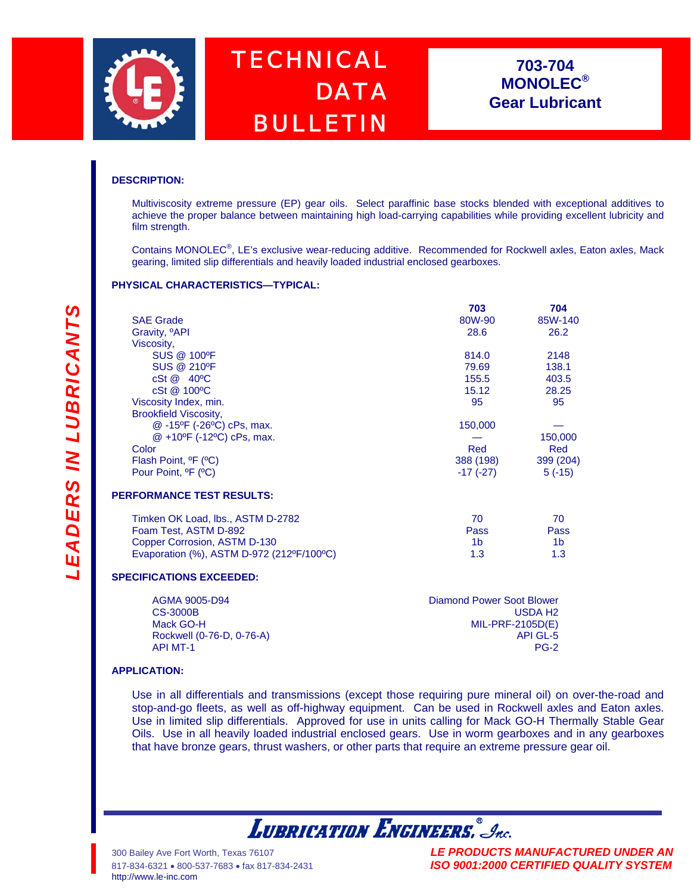

# *TECHNICAL DATA BULLETIN*

## **703-704 MONOLEC® Gear Lubricant**

### **DESCRIPTION:**

Multiviscosity extreme pressure (EP) gear oils. Select paraffinic base stocks blended with exceptional additives to achieve the proper balance between maintaining high load-carrying capabilities while providing excellent lubricity and film strength.

Contains MONOLEC<sup>®</sup>, LE's exclusive wear-reducing additive. Recommended for Rockwell axles, Eaton axles, Mack gearing, limited slip differentials and heavily loaded industrial enclosed gearboxes.

### **PHYSICAL CHARACTERISTICS—TYPICAL:**

|                                               | 703        | 704       |
|-----------------------------------------------|------------|-----------|
| <b>SAE Grade</b>                              | 80W-90     | 85W-140   |
| Gravity, <sup>o</sup> API                     | 28.6       | 26.2      |
| Viscosity,                                    |            |           |
| SUS @ 100°F                                   | 814.0      | 2148      |
| <b>SUS @ 210°F</b>                            | 79.69      | 138.1     |
| $cSt \ @ \ 40°C$                              | 155.5      | 403.5     |
| cSt @ 100°C                                   | 15.12      | 28.25     |
| Viscosity Index, min.                         | 95         | 95        |
| <b>Brookfield Viscosity,</b>                  |            |           |
| @-15°F (-26°C) cPs, max.                      | 150,000    |           |
| @ +10°F (-12°C) cPs, max.                     |            | 150,000   |
| Color                                         | Red        | Red       |
| Flash Point, <sup>o</sup> F ( <sup>o</sup> C) | 388 (198)  | 399 (204) |
| Pour Point, <sup>o</sup> F ( <sup>o</sup> C)  | $-17(-27)$ | $5(-15)$  |

| Timken OK Load, Ibs., ASTM D-2782         | 70.              |             |
|-------------------------------------------|------------------|-------------|
| Foam Test, ASTM D-892                     | Pass             | <b>Pass</b> |
| Copper Corrosion, ASTM D-130              | 1h.              | 1h          |
| Evaporation (%), ASTM D-972 (212ºF/100°C) | 1.3 <sup>2</sup> | 1.3         |

### **SPECIFICATIONS EXCEEDED:**

| AGMA 9005-D94             | Diamond Power Soot Blower |
|---------------------------|---------------------------|
| CS-3000B                  | USDA H2                   |
| Mack GO-H                 | $MIL-PRF-2105D(E)$        |
| Rockwell (0-76-D, 0-76-A) | API GL-5                  |
| <b>API MT-1</b>           | PG-2                      |

### **APPLICATION:**

Use in all differentials and transmissions (except those requiring pure mineral oil) on over-the-road and stop-and-go fleets, as well as off-highway equipment. Can be used in Rockwell axles and Eaton axles. Use in limited slip differentials. Approved for use in units calling for Mack GO-H Thermally Stable Gear Oils. Use in all heavily loaded industrial enclosed gears. Use in worm gearboxes and in any gearboxes that have bronze gears, thrust washers, or other parts that require an extreme pressure gear oil.

**LUBRICATION ENGINEERS.** Inc.

300 Bailey Ave Fort Worth, Texas 76107 *LE PRODUCTS MANUFACTURED UNDER AN* 817-834-6321 • 800-537-7683 • fax 817-834-2431 *ISO 9001:2000 CERTIFIED QUALITY SYSTEM*